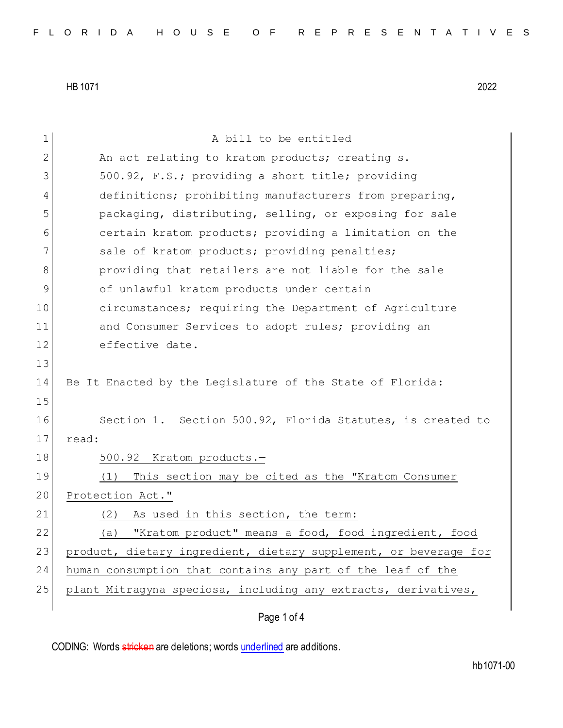| 1            | A bill to be entitled                                            |
|--------------|------------------------------------------------------------------|
| $\mathbf{2}$ | An act relating to kratom products; creating s.                  |
| 3            | 500.92, F.S.; providing a short title; providing                 |
| 4            | definitions; prohibiting manufacturers from preparing,           |
| 5            | packaging, distributing, selling, or exposing for sale           |
| 6            | certain kratom products; providing a limitation on the           |
| 7            | sale of kratom products; providing penalties;                    |
| 8            | providing that retailers are not liable for the sale             |
| 9            | of unlawful kratom products under certain                        |
| 10           | circumstances; requiring the Department of Agriculture           |
| 11           | and Consumer Services to adopt rules; providing an               |
| 12           | effective date.                                                  |
| 13           |                                                                  |
| 14           | Be It Enacted by the Legislature of the State of Florida:        |
| 15           |                                                                  |
| 16           | Section 1. Section 500.92, Florida Statutes, is created to       |
| 17           | read:                                                            |
| 18           | 500.92 Kratom products.-                                         |
| 19           | This section may be cited as the "Kratom Consumer<br>(1)         |
| 20           | Protection Act."                                                 |
| 21           | As used in this section, the term:<br>(2)                        |
| 22           | (a) "Kratom product" means a food, food ingredient, food         |
| 23           | product, dietary ingredient, dietary supplement, or beverage for |
| 24           | human consumption that contains any part of the leaf of the      |
| 25           | plant Mitragyna speciosa, including any extracts, derivatives,   |
|              |                                                                  |

Page 1 of 4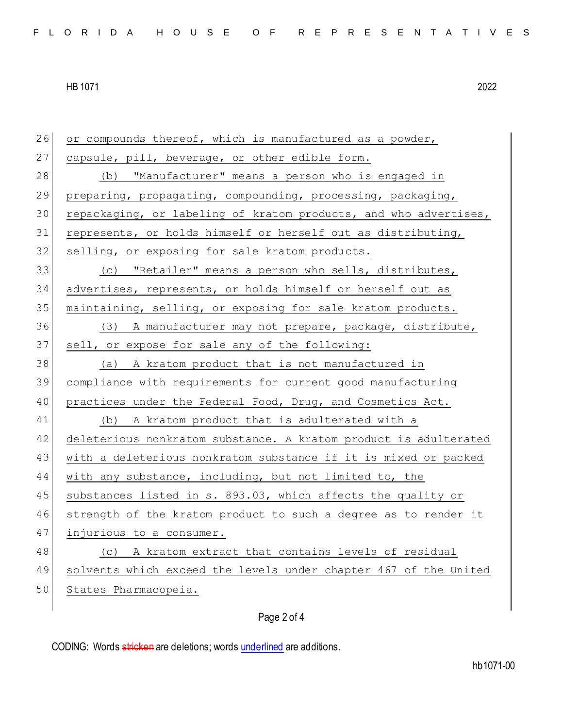26 or compounds thereof, which is manufactured as a powder, 27 capsule, pill, beverage, or other edible form. 28 (b) "Manufacturer" means a person who is engaged in 29 preparing, propagating, compounding, processing, packaging, 30 repackaging, or labeling of kratom products, and who advertises, 31 represents, or holds himself or herself out as distributing, 32 selling, or exposing for sale kratom products. 33 (c) "Retailer" means a person who sells, distributes, 34 advertises, represents, or holds himself or herself out as 35 maintaining, selling, or exposing for sale kratom products. 36 (3) A manufacturer may not prepare, package, distribute, 37 sell, or expose for sale any of the following: 38 (a) A kratom product that is not manufactured in 39 compliance with requirements for current good manufacturing 40 practices under the Federal Food, Drug, and Cosmetics Act. 41 (b) A kratom product that is adulterated with a 42 deleterious nonkratom substance. A kratom product is adulterated 43 with a deleterious nonkratom substance if it is mixed or packed 44 with any substance, including, but not limited to, the 45 substances listed in s. 893.03, which affects the quality or 46 strength of the kratom product to such a degree as to render it 47 injurious to a consumer. 48 (c) A kratom extract that contains levels of residual 49 solvents which exceed the levels under chapter 467 of the United 50 States Pharmacopeia.

## Page 2 of 4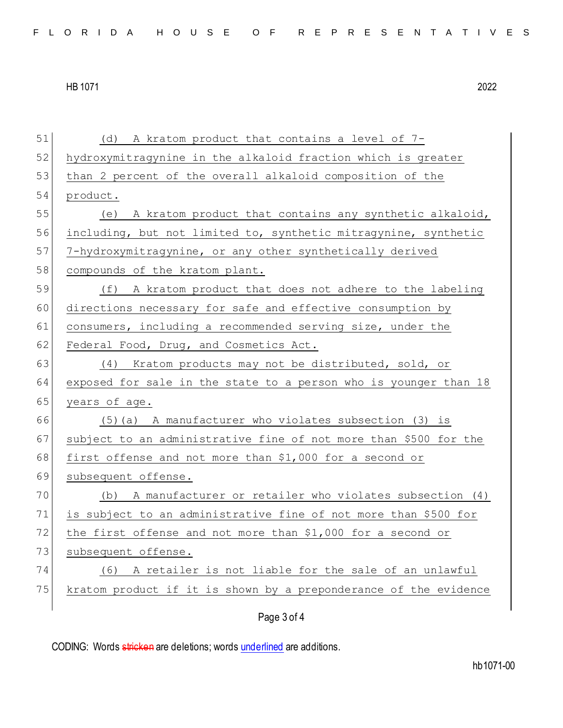| 51 | (d) A kratom product that contains a level of 7-                 |
|----|------------------------------------------------------------------|
| 52 | hydroxymitragynine in the alkaloid fraction which is greater     |
| 53 | than 2 percent of the overall alkaloid composition of the        |
| 54 | product.                                                         |
| 55 | A kratom product that contains any synthetic alkaloid,<br>(e)    |
| 56 | including, but not limited to, synthetic mitragynine, synthetic  |
| 57 | 7-hydroxymitragynine, or any other synthetically derived         |
| 58 | compounds of the kratom plant.                                   |
| 59 | (f) A kratom product that does not adhere to the labeling        |
| 60 | directions necessary for safe and effective consumption by       |
| 61 | consumers, including a recommended serving size, under the       |
| 62 | Federal Food, Drug, and Cosmetics Act.                           |
| 63 | Kratom products may not be distributed, sold, or<br>(4)          |
| 64 | exposed for sale in the state to a person who is younger than 18 |
| 65 | years of age.                                                    |
| 66 | $(5)$ (a) A manufacturer who violates subsection (3) is          |
| 67 | subject to an administrative fine of not more than \$500 for the |
| 68 | first offense and not more than \$1,000 for a second or          |
| 69 | subsequent offense.                                              |
| 70 | (b) A manufacturer or retailer who violates subsection (4)       |
| 71 | is subject to an administrative fine of not more than \$500 for  |
| 72 | the first offense and not more than \$1,000 for a second or      |
| 73 | subsequent offense.                                              |
| 74 | A retailer is not liable for the sale of an unlawful<br>(6)      |
| 75 | kratom product if it is shown by a preponderance of the evidence |
|    | Page 3 of 4                                                      |